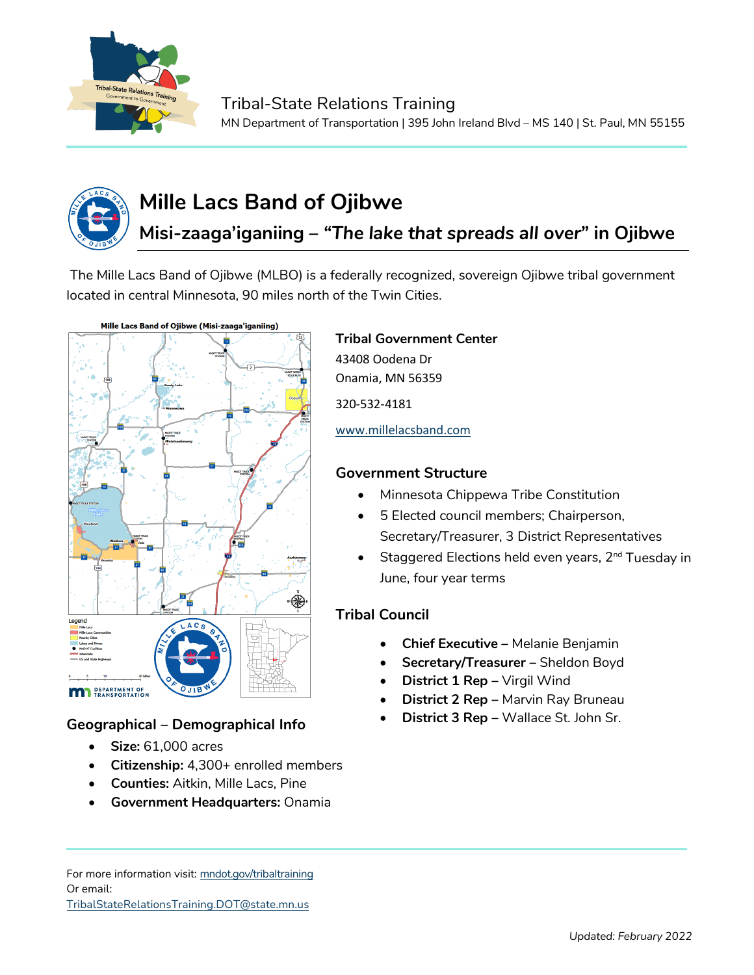



# **Mille Lacs Band of Ojibwe**

# **Misi-zaaga'iganiing –** *"The lake that spreads all over"* **in Ojibwe**

The Mille Lacs Band of Ojibwe (MLBO) is a federally recognized, sovereign Ojibwe tribal government located in central Minnesota, 90 miles north of the Twin Cities.



# **Geographical – Demographical Info**

- **Size:** 61,000 acres
- **Citizenship:** 4,300+ enrolled members
- **Counties:** Aitkin, Mille Lacs, Pine
- **Government Headquarters:** Onamia

#### **Tribal Government Center**

43408 Oodena Dr Onamia, MN 56359

320-532-4181

[www.millelacsband.com](http://www.millelacsband.com/)

### **Government Structure**

- Minnesota Chippewa Tribe Constitution
- 5 Elected council members; Chairperson, Secretary/Treasurer, 3 District Representatives
- Staggered Elections held even years, 2<sup>nd</sup> Tuesday in June, four year terms

# **Tribal Council**

- **Chief Executive –** Melanie Benjamin
- **Secretary/Treasurer –** Sheldon Boyd
- **District 1 Rep** Virgil Wind
- **District 2 Rep –** Marvin Ray Bruneau
- **District 3 Rep –** Wallace St. John Sr.

For more information visit: mndot.gov/tribaltraining Or email: TribalStateRelationsTraining.DOT@state.mn.us